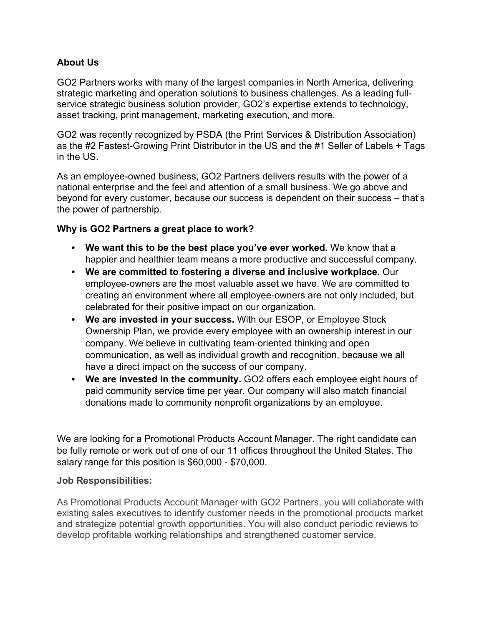### **About Us**

GO2 Partners works with many of the largest companies in North America, delivering strategic marketing and operation solutions to business challenges. As a leading fullservice strategic business solution provider, GO2's expertise extends to technology, asset tracking, print management, marketing execution, and more.

GO2 was recently recognized by PSDA (the Print Services & Distribution Association) as the #2 Fastest-Growing Print Distributor in the US and the #1 Seller of Labels + Tags in the US.

As an employee-owned business, GO2 Partners delivers results with the power of a national enterprise and the feel and attention of a small business. We go above and beyond for every customer, because our success is dependent on their success – that's the power of partnership.

### **Why is GO2 Partners a great place to work?**

- **We want this to be the best place you've ever worked.** We know that a happier and healthier team means a more productive and successful company.
- **We are committed to fostering a diverse and inclusive workplace.** Our employee-owners are the most valuable asset we have. We are committed to creating an environment where all employee-owners are not only included, but celebrated for their positive impact on our organization.
- **We are invested in your success.** With our ESOP, or Employee Stock Ownership Plan, we provide every employee with an ownership interest in our company. We believe in cultivating team-oriented thinking and open communication, as well as individual growth and recognition, because we all have a direct impact on the success of our company.
- **We are invested in the community.** GO2 offers each employee eight hours of paid community service time per year. Our company will also match financial donations made to community nonprofit organizations by an employee.

We are looking for a Promotional Products Account Manager. The right candidate can be fully remote or work out of one of our 11 offices throughout the United States. The salary range for this position is \$60,000 - \$70,000.

#### **Job Responsibilities:**

As Promotional Products Account Manager with GO2 Partners, you will collaborate with existing sales executives to identify customer needs in the promotional products market and strategize potential growth opportunities. You will also conduct periodic reviews to develop profitable working relationships and strengthened customer service.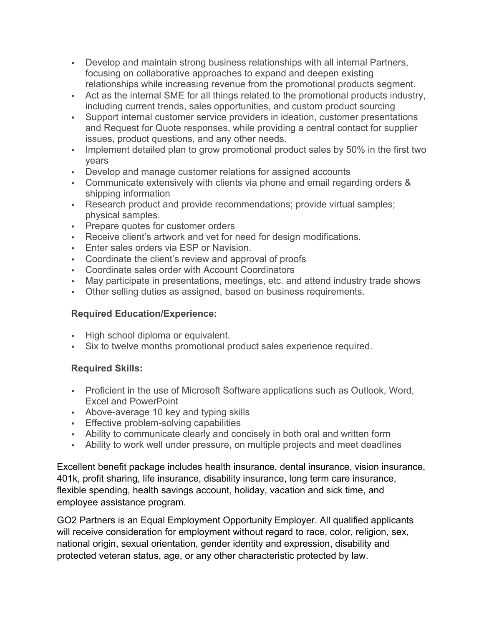- Develop and maintain strong business relationships with all internal Partners, focusing on collaborative approaches to expand and deepen existing relationships while increasing revenue from the promotional products segment.
- Act as the internal SME for all things related to the promotional products industry, including current trends, sales opportunities, and custom product sourcing
- Support internal customer service providers in ideation, customer presentations and Request for Quote responses, while providing a central contact for supplier issues, product questions, and any other needs.
- Implement detailed plan to grow promotional product sales by 50% in the first two years
- Develop and manage customer relations for assigned accounts
- Communicate extensively with clients via phone and email regarding orders & shipping information
- Research product and provide recommendations; provide virtual samples; physical samples.
- Prepare quotes for customer orders
- Receive client's artwork and vet for need for design modifications.
- Enter sales orders via ESP or Navision.
- Coordinate the client's review and approval of proofs
- Coordinate sales order with Account Coordinators
- May participate in presentations, meetings, etc. and attend industry trade shows
- Other selling duties as assigned, based on business requirements.

# **Required Education/Experience:**

- High school diploma or equivalent.
- Six to twelve months promotional product sales experience required.

# **Required Skills:**

- Proficient in the use of Microsoft Software applications such as Outlook, Word, Excel and PowerPoint
- Above-average 10 key and typing skills
- **Effective problem-solving capabilities**
- Ability to communicate clearly and concisely in both oral and written form
- Ability to work well under pressure, on multiple projects and meet deadlines

Excellent benefit package includes health insurance, dental insurance, vision insurance, 401k, profit sharing, life insurance, disability insurance, long term care insurance, flexible spending, health savings account, holiday, vacation and sick time, and employee assistance program.

GO2 Partners is an Equal Employment Opportunity Employer. All qualified applicants will receive consideration for employment without regard to race, color, religion, sex, national origin, sexual orientation, gender identity and expression, disability and protected veteran status, age, or any other characteristic protected by law.